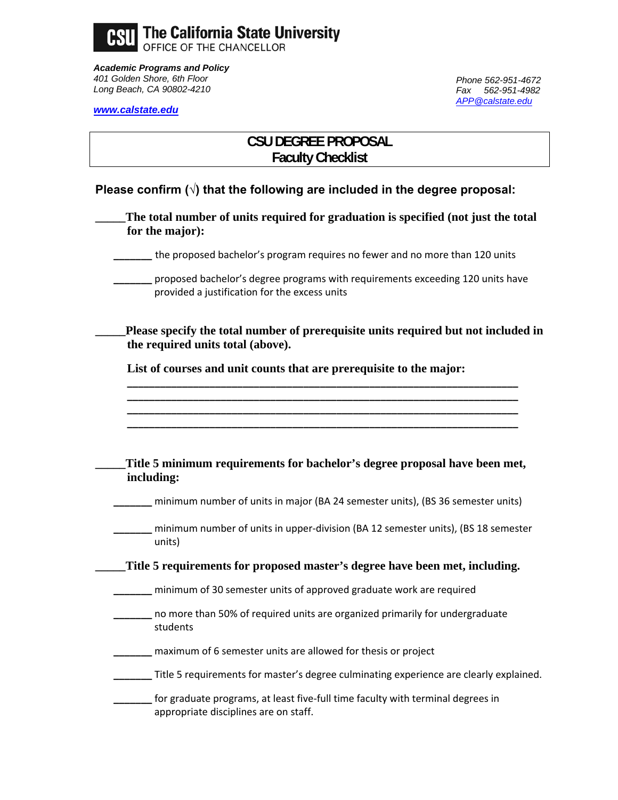

*Academic Programs and Policy 401 Golden Shore, 6th Floor Long Beach, CA 90802-4210* 

*Phone 562-951-4672 Fax 562-951-4982 APP@calstate.edu*

*www.calstate.edu*

# **CSU DEGREE PROPOSAL Faculty Checklist**

- **Please confirm (√) that the following are included in the degree proposal:** 
	- The total number of units required for graduation is specified (not just the total **for the major):**
	- **\_\_\_\_\_\_\_** the proposed bachelor's program requires no fewer and no more than 120 units
		- **\_\_\_\_\_\_\_** proposed bachelor's degree programs with requirements exceeding 120 units have provided a justification for the excess units

Please specify the total number of prerequisite units required but not included in **the required units total (above).** 

**\_\_\_\_\_\_\_\_\_\_\_\_\_\_\_\_\_\_\_\_\_\_\_\_\_\_\_\_\_\_\_\_\_\_\_\_\_\_\_\_\_\_\_\_\_\_\_\_\_\_\_\_\_\_\_\_\_\_\_\_\_\_\_\_\_\_\_\_\_\_\_ \_\_\_\_\_\_\_\_\_\_\_\_\_\_\_\_\_\_\_\_\_\_\_\_\_\_\_\_\_\_\_\_\_\_\_\_\_\_\_\_\_\_\_\_\_\_\_\_\_\_\_\_\_\_\_\_\_\_\_\_\_\_\_\_\_\_\_\_\_\_\_ \_\_\_\_\_\_\_\_\_\_\_\_\_\_\_\_\_\_\_\_\_\_\_\_\_\_\_\_\_\_\_\_\_\_\_\_\_\_\_\_\_\_\_\_\_\_\_\_\_\_\_\_\_\_\_\_\_\_\_\_\_\_\_\_\_\_\_\_\_\_\_ \_\_\_\_\_\_\_\_\_\_\_\_\_\_\_\_\_\_\_\_\_\_\_\_\_\_\_\_\_\_\_\_\_\_\_\_\_\_\_\_\_\_\_\_\_\_\_\_\_\_\_\_\_\_\_\_\_\_\_\_\_\_\_\_\_\_\_\_\_\_\_**

**List of courses and unit counts that are prerequisite to the major:** 

| Title 5 minimum requirements for bachelor's degree proposal have been met,<br>including:                                 |
|--------------------------------------------------------------------------------------------------------------------------|
| minimum number of units in major (BA 24 semester units), (BS 36 semester units)                                          |
| minimum number of units in upper-division (BA 12 semester units), (BS 18 semester<br>units)                              |
| Title 5 requirements for proposed master's degree have been met, including.                                              |
| minimum of 30 semester units of approved graduate work are required                                                      |
| no more than 50% of required units are organized primarily for undergraduate<br>students                                 |
| maximum of 6 semester units are allowed for thesis or project                                                            |
| Title 5 requirements for master's degree culminating experience are clearly explained.                                   |
| for graduate programs, at least five-full time faculty with terminal degrees in<br>appropriate disciplines are on staff. |